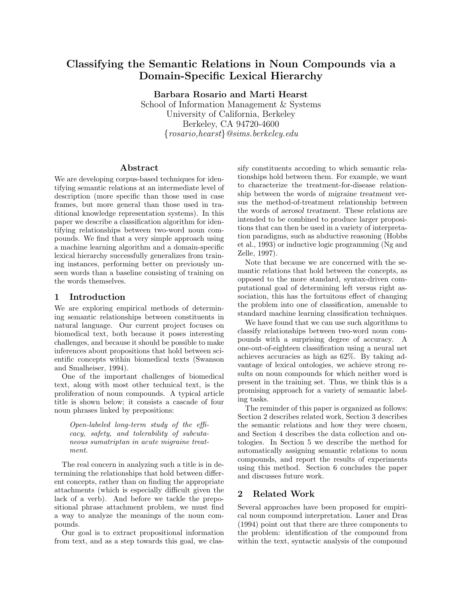# **Classifying the Semantic Relations in Noun Compounds via a Domain-Specific Lexical Hierarchy**

**Barbara Rosario and Marti Hearst** School of Information Management & Systems University of California, Berkeley Berkeley, CA 94720-4600 {rosario,hearst}@sims.berkeley.edu

#### **Abstract**

We are developing corpus-based techniques for identifying semantic relations at an intermediate level of description (more specific than those used in case frames, but more general than those used in traditional knowledge representation systems). In this paper we describe a classification algorithm for identifying relationships between two-word noun compounds. We find that a very simple approach using a machine learning algorithm and a domain-specific lexical hierarchy successfully generalizes from training instances, performing better on previously unseen words than a baseline consisting of training on the words themselves.

### **1 Introduction**

We are exploring empirical methods of determining semantic relationships between constituents in natural language. Our current project focuses on biomedical text, both because it poses interesting challenges, and because it should be possible to make inferences about propositions that hold between scientific concepts within biomedical texts (Swanson and Smalheiser, 1994).

One of the important challenges of biomedical text, along with most other technical text, is the proliferation of noun compounds. A typical article title is shown below; it consists a cascade of four noun phrases linked by prepositions:

Open-labeled long-term study of the efficacy, safety, and tolerability of subcutaneous sumatriptan in acute migraine treatment.

The real concern in analyzing such a title is in determining the relationships that hold between different concepts, rather than on finding the appropriate attachments (which is especially difficult given the lack of a verb). And before we tackle the prepositional phrase attachment problem, we must find a way to analyze the meanings of the noun compounds.

Our goal is to extract propositional information from text, and as a step towards this goal, we classify constituents according to which semantic relationships hold between them. For example, we want to characterize the treatment-for-disease relationship between the words of *migraine treatment* versus the method-of-treatment relationship between the words of *aerosol treatment*. These relations are intended to be combined to produce larger propositions that can then be used in a variety of interpretation paradigms, such as abductive reasoning (Hobbs et al., 1993) or inductive logic programming (Ng and Zelle, 1997).

Note that because we are concerned with the semantic relations that hold between the concepts, as opposed to the more standard, syntax-driven computational goal of determining left versus right association, this has the fortuitous effect of changing the problem into one of classification, amenable to standard machine learning classification techniques.

We have found that we can use such algorithms to classify relationships between two-word noun compounds with a surprising degree of accuracy. A one-out-of-eighteen classification using a neural net achieves accuracies as high as 62%. By taking advantage of lexical ontologies, we achieve strong results on noun compounds for which neither word is present in the training set. Thus, we think this is a promising approach for a variety of semantic labeling tasks.

The reminder of this paper is organized as follows: Section 2 describes related work, Section 3 describes the semantic relations and how they were chosen, and Section 4 describes the data collection and ontologies. In Section 5 we describe the method for automatically assigning semantic relations to noun compounds, and report the results of experiments using this method. Section 6 concludes the paper and discusses future work.

# **2 Related Work**

Several approaches have been proposed for empirical noun compound interpretation. Lauer and Dras (1994) point out that there are three components to the problem: identification of the compound from within the text, syntactic analysis of the compound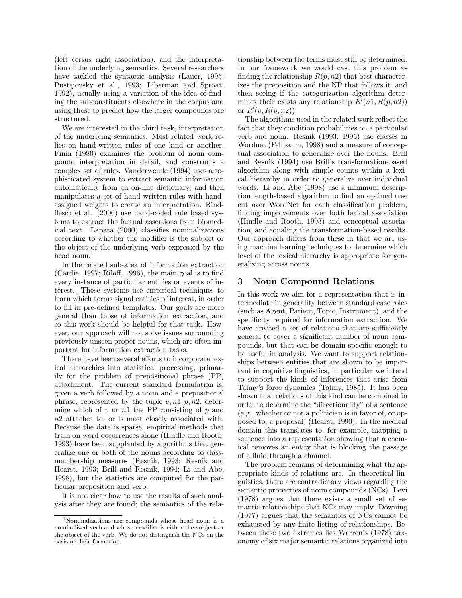(left versus right association), and the interpretation of the underlying semantics. Several researchers have tackled the syntactic analysis (Lauer, 1995; Pustejovsky et al., 1993; Liberman and Sproat, 1992), usually using a variation of the idea of finding the subconstituents elsewhere in the corpus and using those to predict how the larger compounds are structured.

We are interested in the third task, interpretation of the underlying semantics. Most related work relies on hand-written rules of one kind or another. Finin (1980) examines the problem of noun compound interpretation in detail, and constructs a complex set of rules. Vanderwende (1994) uses a sophisticated system to extract semantic information automatically from an on-line dictionary, and then manipulates a set of hand-written rules with handassigned weights to create an interpretation. Rindflesch et al. (2000) use hand-coded rule based systems to extract the factual assertions from biomedical text. Lapata (2000) classifies nominalizations according to whether the modifier is the subject or the object of the underlying verb expressed by the head noun.<sup>1</sup>

In the related sub-area of information extraction (Cardie, 1997; Riloff, 1996), the main goal is to find every instance of particular entities or events of interest. These systems use empirical techniques to learn which terms signal entities of interest, in order to fill in pre-defined templates. Our goals are more general than those of information extraction, and so this work should be helpful for that task. However, our approach will not solve issues surrounding previously unseen proper nouns, which are often important for information extraction tasks.

There have been several efforts to incorporate lexical hierarchies into statistical processing, primarily for the problem of prepositional phrase (PP) attachment. The current standard formulation is: given a verb followed by a noun and a prepositional phrase, represented by the tuple  $v, n1, p, n2$ , determine which of  $v$  or  $n1$  the PP consisting of  $p$  and  $n2$  attaches to, or is most closely associated with. Because the data is sparse, empirical methods that train on word occurrences alone (Hindle and Rooth, 1993) have been supplanted by algorithms that generalize one or both of the nouns according to classmembership measures (Resnik, 1993; Resnik and Hearst, 1993; Brill and Resnik, 1994; Li and Abe, 1998), but the statistics are computed for the particular preposition and verb.

It is not clear how to use the results of such analysis after they are found; the semantics of the relationship between the terms must still be determined. In our framework we would cast this problem as finding the relationship  $R(p, n2)$  that best characterizes the preposition and the NP that follows it, and then seeing if the categorization algorithm determines their exists any relationship  $R'(n1, R(p, n2))$ or  $R'(v, R(p, n2))$ .

The algorithms used in the related work reflect the fact that they condition probabilities on a particular verb and noun. Resnik (1993; 1995) use classes in Wordnet (Fellbaum, 1998) and a measure of conceptual association to generalize over the nouns. Brill and Resnik (1994) use Brill's transformation-based algorithm along with simple counts within a lexical hierarchy in order to generalize over individual words. Li and Abe (1998) use a minimum description length-based algorithm to find an optimal tree cut over WordNet for each classification problem, finding improvements over both lexical association (Hindle and Rooth, 1993) and conceptual association, and equaling the transformation-based results. Our approach differs from these in that we are using machine learning techniques to determine which level of the lexical hierarchy is appropriate for generalizing across nouns.

#### **3 Noun Compound Relations**

In this work we aim for a representation that is intermediate in generality between standard case roles (such as Agent, Patient, Topic, Instrument), and the specificity required for information extraction. We have created a set of relations that are sufficiently general to cover a significant number of noun compounds, but that can be domain specific enough to be useful in analysis. We want to support relationships between entities that are shown to be important in cognitive linguistics, in particular we intend to support the kinds of inferences that arise from Talmy's force dynamics (Talmy, 1985). It has been shown that relations of this kind can be combined in order to determine the "directionality" of a sentence (e.g., whether or not a politician is in favor of, or opposed to, a proposal) (Hearst, 1990). In the medical domain this translates to, for example, mapping a sentence into a representation showing that a chemical removes an entity that is blocking the passage of a fluid through a channel.

The problem remains of determining what the appropriate kinds of relations are. In theoretical linguistics, there are contradictory views regarding the semantic properties of noun compounds (NCs). Levi (1978) argues that there exists a small set of semantic relationships that NCs may imply. Downing (1977) argues that the semantics of NCs cannot be exhausted by any finite listing of relationships. Between these two extremes lies Warren's (1978) taxonomy of sixmajor semantic relations organized into

<sup>1</sup>Nominalizations are compounds whose head noun is a nominalized verb and whose modifier is either the subject or the object of the verb. We do not distinguish the NCs on the basis of their formation.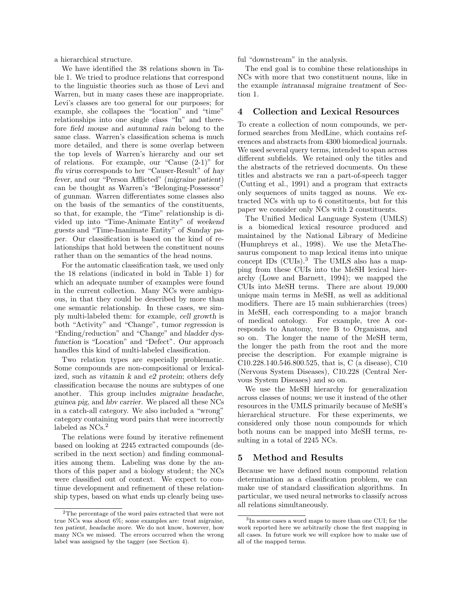a hierarchical structure.

We have identified the 38 relations shown in Table 1. We tried to produce relations that correspond to the linguistic theories such as those of Levi and Warren, but in many cases these are inappropriate. Levi's classes are too general for our purposes; for example, she collapses the "location" and "time" relationships into one single class "In" and therefore *field mouse* and *autumnal rain* belong to the same class. Warren's classification schema is much more detailed, and there is some overlap between the top levels of Warren's hierarchy and our set of relations. For example, our "Cause (2-1)" for *flu virus* corresponds to her "Causer-Result" of *hay fever*, and our "Person Afflicted" (*migraine patient*) can be thought as Warren's "Belonging-Possessor" of *gunman*. Warren differentiates some classes also on the basis of the semantics of the constituents, so that, for example, the "Time" relationship is divided up into "Time-Animate Entity" of *weekend guests* and "Time-Inanimate Entity" of *Sunday paper*. Our classification is based on the kind of relationships that hold between the constituent nouns rather than on the semantics of the head nouns.

For the automatic classification task, we used only the 18 relations (indicated in bold in Table 1) for which an adequate number of examples were found in the current collection. Many NCs were ambiguous, in that they could be described by more than one semantic relationship. In these cases, we simply multi-labeled them: for example, *cell growth* is both "Activity" and "Change", *tumor regression* is "Ending/reduction" and "Change" and *bladder dysfunction* is "Location" and "Defect". Our approach handles this kind of multi-labeled classification.

Two relation types are especially problematic. Some compounds are non-compositional or lexicalized, such as *vitamin k* and *e2 protein*; others defy classification because the nouns are subtypes of one another. This group includes *migraine headache*, *guinea pig*, and *hbv carrier*. We placed all these NCs in a catch-all category. We also included a "wrong" category containing word pairs that were incorrectly labeled as  $NCs.<sup>2</sup>$ 

The relations were found by iterative refinement based on looking at 2245 extracted compounds (described in the next section) and finding commonalities among them. Labeling was done by the authors of this paper and a biology student; the NCs were classified out of context. We expect to continue development and refinement of these relationship types, based on what ends up clearly being useful "downstream" in the analysis.

The end goal is to combine these relationships in NCs with more that two constituent nouns, like in the example *intranasal migraine treatment* of Section 1.

#### **4 Collection and Lexical Resources**

To create a collection of noun compounds, we performed searches from MedLine, which contains references and abstracts from 4300 biomedical journals. We used several query terms, intended to span across different subfields. We retained only the titles and the abstracts of the retrieved documents. On these titles and abstracts we ran a part-of-speech tagger (Cutting et al., 1991) and a program that extracts only sequences of units tagged as nouns. We extracted NCs with up to 6 constituents, but for this paper we consider only NCs with 2 constituents.

The Unified Medical Language System (UMLS) is a biomedical lexical resource produced and maintained by the National Library of Medicine (Humphreys et al., 1998). We use the MetaThesaurus component to map lexical items into unique concept IDs (CUIs).<sup>3</sup> The UMLS also has a mapping from these CUIs into the MeSH lexical hierarchy (Lowe and Barnett, 1994); we mapped the CUIs into MeSH terms. There are about 19,000 unique main terms in MeSH, as well as additional modifiers. There are 15 main subhierarchies (trees) in MeSH, each corresponding to a major branch of medical ontology. For example, tree A corresponds to Anatomy, tree B to Organisms, and so on. The longer the name of the MeSH term, the longer the path from the root and the more precise the description. For example migraine is C10.228.140.546.800.525, that is, C (a disease), C10 (Nervous System Diseases), C10.228 (Central Nervous System Diseases) and so on.

We use the MeSH hierarchy for generalization across classes of nouns; we use it instead of the other resources in the UMLS primarily because of MeSH's hierarchical structure. For these experiments, we considered only those noun compounds for which both nouns can be mapped into MeSH terms, resulting in a total of 2245 NCs.

#### **5 Method and Results**

Because we have defined noun compound relation determination as a classification problem, we can make use of standard classification algorithms. In particular, we used neural networks to classify across all relations simultaneously.

 $\rm{^2The}$  percentage of the word pairs extracted that were not true NCs was about 6%; some examples are: *treat migraine*, *ten patient*, *headache more*. We do not know, however, how many NCs we missed. The errors occurred when the wrong label was assigned by the tagger (see Section 4).

 $3$ In some cases a word maps to more than one CUI; for the work reported here we arbitrarily chose the first mapping in all cases. In future work we will explore how to make use of all of the mapped terms.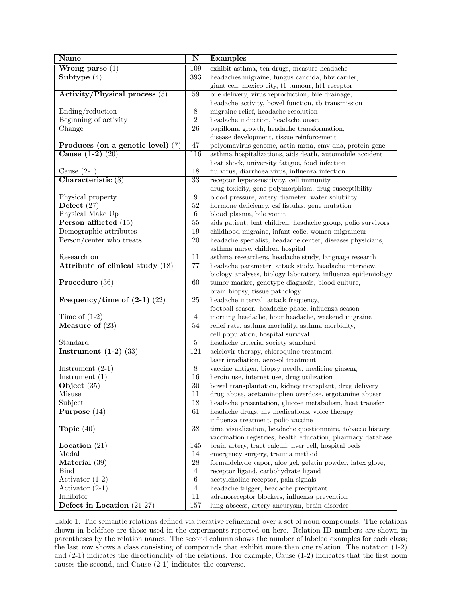| <b>Name</b>                         | $\overline{\bf N}$ | <b>Examples</b>                                                        |  |  |
|-------------------------------------|--------------------|------------------------------------------------------------------------|--|--|
| $Wrong parse (1)$                   | 109                | exhibit asthma, ten drugs, measure headache                            |  |  |
| Subtype $(4)$                       | 393                | headaches migraine, fungus candida, hbv carrier,                       |  |  |
|                                     |                    | giant cell, mexico city, t1 tumour, ht1 receptor                       |  |  |
| Activity/Physical process $(5)$     | 59                 | bile delivery, virus reproduction, bile drainage,                      |  |  |
|                                     |                    | headache activity, bowel function, tb transmission                     |  |  |
| Ending/reduction                    | $8\,$              | migraine relief, headache resolution                                   |  |  |
| Beginning of activity               | $\boldsymbol{2}$   | headache induction, headache onset                                     |  |  |
| Change                              | 26                 | papilloma growth, headache transformation,                             |  |  |
|                                     |                    | disease development, tissue reinforcement                              |  |  |
| Produces (on a genetic level) $(7)$ | 47                 | polyomavirus genome, actin mrna, cmv dna, protein gene                 |  |  |
| Cause $(1-2)$ $(20)$                | 116                | asthma hospitalizations, aids death, automobile accident               |  |  |
|                                     |                    | heat shock, university fatigue, food infection                         |  |  |
| Cause $(2-1)$                       | 18                 | flu virus, diarrhoea virus, influenza infection                        |  |  |
| Characteristic (8)                  | $\overline{33}$    | receptor hypersensitivity, cell immunity,                              |  |  |
|                                     |                    | drug toxicity, gene polymorphism, drug susceptibility                  |  |  |
| Physical property                   | $\boldsymbol{9}$   | blood pressure, artery diameter, water solubility                      |  |  |
| Defect $(27)$                       | 52                 | hormone deficiency, csf fistulas, gene mutation                        |  |  |
| Physical Make Up                    | 6                  | blood plasma, bile vomit                                               |  |  |
| Person afflicted $(15)$             | 55                 | aids patient, bmt children, headache group, polio survivors            |  |  |
| Demographic attributes              | 19                 | childhood migraine, infant colic, women migraineur                     |  |  |
| Person/center who treats            | 20                 | headache specialist, headache center, diseases physicians,             |  |  |
|                                     |                    | asthma nurse, children hospital                                        |  |  |
| Research on                         | 11                 | asthma researchers, headache study, language research                  |  |  |
| Attribute of clinical study (18)    | 77                 | headache parameter, attack study, headache interview,                  |  |  |
|                                     | 60                 | biology analyses, biology laboratory, influenza epidemiology           |  |  |
| Procedure (36)                      |                    | tumor marker, genotype diagnosis, blood culture,                       |  |  |
| Frequency/time of $(2-1)$ $(22)$    | 25                 | brain biopsy, tissue pathology<br>headache interval, attack frequency, |  |  |
|                                     |                    | football season, headache phase, influenza season                      |  |  |
| Time of $(1-2)$                     | 4                  | morning headache, hour headache, weekend migraine                      |  |  |
| Measure of $(23)$                   | 54                 | relief rate, asthma mortality, asthma morbidity,                       |  |  |
|                                     |                    | cell population, hospital survival                                     |  |  |
| Standard                            | $\overline{5}$     | headache criteria, society standard                                    |  |  |
| Instrument $(1-2)$ $(33)$           | 121                | aciclovir therapy, chloroquine treatment,                              |  |  |
|                                     |                    | laser irradiation, aerosol treatment                                   |  |  |
| Instrument $(2-1)$                  | $8\,$              | vaccine antigen, biopsy needle, medicine ginseng                       |  |  |
| Instrument $(1)$                    | 16                 | heroin use, internet use, drug utilization                             |  |  |
| Object $(35)$                       | $\overline{30}$    | bowel transplantation, kidney transplant, drug delivery                |  |  |
| Misuse                              | 11                 | drug abuse, acetaminophen overdose, ergotamine abuser                  |  |  |
| Subject                             | $18\,$             | headache presentation, glucose metabolism, heat transfer               |  |  |
| Purpose $(14)$                      | 61                 | headache drugs, hiv medications, voice therapy,                        |  |  |
|                                     |                    | influenza treatment, polio vaccine                                     |  |  |
| Topic $(40)$                        | 38                 | time visualization, headache questionnaire, tobacco history,           |  |  |
|                                     |                    | vaccination registries, health education, pharmacy database            |  |  |
| Location $(21)$                     | 145                | brain artery, tract calculi, liver cell, hospital beds                 |  |  |
| Modal                               | 14                 | emergency surgery, trauma method                                       |  |  |
| Material $(39)$                     | 28                 | formaldehyde vapor, aloe gel, gelatin powder, latex glove,             |  |  |
| <b>Bind</b>                         | $\overline{4}$     | receptor ligand, carbohydrate ligand                                   |  |  |
| Activator $(1-2)$                   | 6                  | acetylcholine receptor, pain signals                                   |  |  |
| Activator $(2-1)$                   | $\overline{4}$     | headache trigger, headache precipitant                                 |  |  |
| Inhibitor                           | 11                 | adrenoreceptor blockers, influenza prevention                          |  |  |
| Defect in Location $(21 27)$        | 157                | lung abscess, artery aneurysm, brain disorder                          |  |  |

Table 1: The semantic relations defined via iterative refinement over a set of noun compounds. The relations shown in boldface are those used in the experiments reported on here. Relation ID numbers are shown in parentheses by the relation names. The second column shows the number of labeled examples for each class; the last row shows a class consisting of compounds that exhibit more than one relation. The notation (1-2) and (2-1) indicates the directionality of the relations. For example, Cause (1-2) indicates that the first noun causes the second, and Cause (2-1) indicates the converse.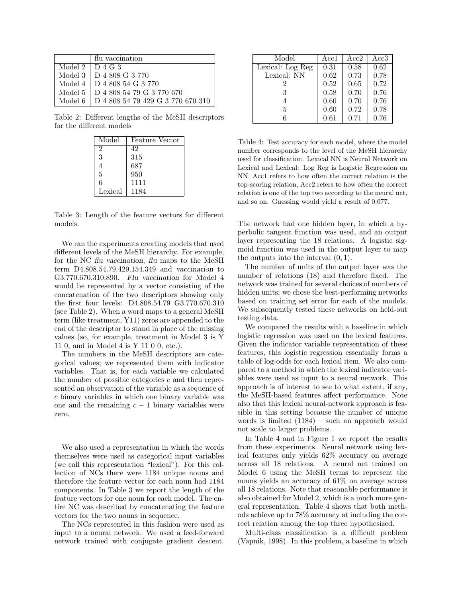|                         | flu vaccination                   |
|-------------------------|-----------------------------------|
| Model $2 \perp D$ 4 G 3 |                                   |
|                         | Model 3   D 4 808 G 3 770         |
|                         | Model 4 D 4 808 54 G 3 770        |
| Model 5                 | D 4 808 54 79 G 3 770 670         |
| Model 6                 | D 4 808 54 79 429 G 3 770 670 310 |

Table 2: Different lengths of the MeSH descriptors for the different models

| Model          | <b>Feature Vector</b> |
|----------------|-----------------------|
| $\overline{2}$ | 42                    |
| 3              | 315                   |
| 4              | 687                   |
| 5              | 950                   |
| 6              | 1111                  |
| Lexical        | 1184                  |

Table 3: Length of the feature vectors for different models.

We ran the experiments creating models that used different levels of the MeSH hierarchy. For example, for the NC *flu vaccination*, *flu* maps to the MeSH term D4.808.54.79.429.154.349 and *vaccination* to G3.770.670.310.890. *Flu vaccination* for Model 4 would be represented by a vector consisting of the concatenation of the two descriptors showing only the first four levels: D4.808.54.79 G3.770.670.310 (see Table 2). When a word maps to a general MeSH term (like treatment, Y11) zeros are appended to the end of the descriptor to stand in place of the missing values (so, for example, treatment in Model 3 is Y 11 0, and in Model 4 is Y 11 0 0, etc.).

The numbers in the MeSH descriptors are categorical values; we represented them with indicator variables. That is, for each variable we calculated the number of possible categories  $c$  and then represented an observation of the variable as a sequence of c binary variables in which one binary variable was one and the remaining  $c - 1$  binary variables were zero.

We also used a representation in which the words themselves were used as categorical input variables (we call this representation "lexical"). For this collection of NCs there were 1184 unique nouns and therefore the feature vector for each noun had 1184 components. In Table 3 we report the length of the feature vectors for one noun for each model. The entire NC was described by concatenating the feature vectors for the two nouns in sequence.

The NCs represented in this fashion were used as input to a neural network. We used a feed-forward network trained with conjugate gradient descent.

| Model            | Acc1 | Acc2 | Acc3 |
|------------------|------|------|------|
| Lexical: Log Reg | 0.31 | 0.58 | 0.62 |
| Lexical: NN      | 0.62 | 0.73 | 0.78 |
| 2                | 0.52 | 0.65 | 0.72 |
| 3                | 0.58 | 0.70 | 0.76 |
| 4                | 0.60 | 0.70 | 0.76 |
| 5                | 0.60 | 0.72 | 0.78 |
|                  | 0.61 | 0.71 | 0.76 |

Table 4: Test accuracy for each model, where the model number corresponds to the level of the MeSH hierarchy used for classification. Lexical NN is Neural Network on Lexical and Lexical: Log Reg is Logistic Regression on NN. Acc1 refers to how often the correct relation is the top-scoring relation, Acc2 refers to how often the correct relation is one of the top two according to the neural net, and so on. Guessing would yield a result of 0.077.

The network had one hidden layer, in which a hyperbolic tangent function was used, and an output layer representing the 18 relations. A logistic sigmoid function was used in the output layer to map the outputs into the interval  $(0, 1)$ .

The number of units of the output layer was the number of relations (18) and therefore fixed. The network was trained for several choices of numbers of hidden units; we chose the best-performing networks based on training set error for each of the models. We subsequently tested these networks on held-out testing data.

We compared the results with a baseline in which logistic regression was used on the lexical features. Given the indicator variable representation of these features, this logistic regression essentially forms a table of log-odds for each lexical item. We also compared to a method in which the lexical indicator variables were used as input to a neural network. This approach is of interest to see to what extent, if any, the MeSH-based features affect performance. Note also that this lexical neural-network approach is feasible in this setting because the number of unique words is limited (1184) – such an approach would not scale to larger problems.

In Table 4 and in Figure 1 we report the results from these experiments. Neural network using lexical features only yields 62% accuracy on average across all 18 relations. A neural net trained on Model 6 using the MeSH terms to represent the nouns yields an accuracy of 61% on average across all 18 relations. Note that reasonable performance is also obtained for Model 2, which is a much more general representation. Table 4 shows that both methods achieve up to 78% accuracy at including the correct relation among the top three hypothesized.

Multi-class classification is a difficult problem (Vapnik, 1998). In this problem, a baseline in which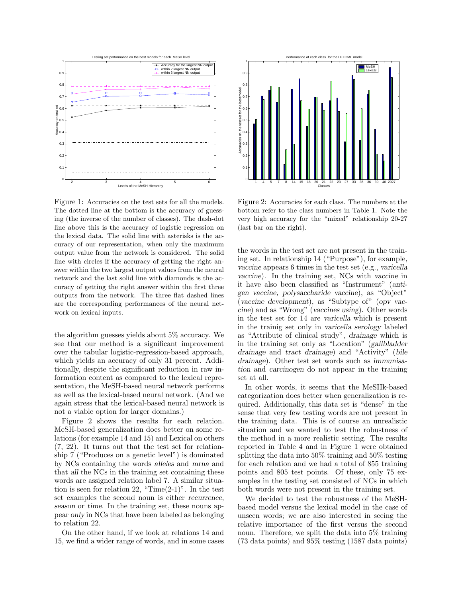

Figure 1: Accuracies on the test sets for all the models. The dotted line at the bottom is the accuracy of guessing (the inverse of the number of classes). The dash-dot line above this is the accuracy of logistic regression on the lexical data. The solid line with asterisks is the accuracy of our representation, when only the maximum output value from the network is considered. The solid line with circles if the accuracy of getting the right answer within the two largest output values from the neural network and the last solid line with diamonds is the accuracy of getting the right answer within the first three outputs from the network. The three flat dashed lines are the corresponding performances of the neural network on lexical inputs.

the algorithm guesses yields about 5% accuracy. We see that our method is a significant improvement over the tabular logistic-regression-based approach, which yields an accuracy of only 31 percent. Additionally, despite the significant reduction in raw information content as compared to the lexical representation, the MeSH-based neural network performs as well as the lexical-based neural network. (And we again stress that the lexical-based neural network is not a viable option for larger domains.)

Figure 2 shows the results for each relation. MeSH-based generalization does better on some relations (for example 14 and 15) and Lexical on others (7, 22). It turns out that the test set for relationship 7 ("Produces on a genetic level") is dominated by NCs containing the words *alleles* and *mrna* and that *all* the NCs in the training set containing these words are assigned relation label 7. A similar situation is seen for relation 22, "Time $(2-1)$ ". In the test set examples the second noun is either *recurrence*, *season* or *time*. In the training set, these nouns appear *only* in NCs that have been labeled as belonging to relation 22.

On the other hand, if we look at relations 14 and 15, we find a wider range of words, and in some cases



Figure 2: Accuracies for each class. The numbers at the bottom refer to the class numbers in Table 1. Note the very high accuracy for the "mixed" relationship 20-27 (last bar on the right).

the words in the test set are not present in the training set. In relationship 14 ("Purpose"), for example, *vaccine* appears 6 times in the test set (e.g., *varicella vaccine*). In the training set, NCs with *vaccine* in it have also been classified as "Instrument" (*antigen vaccine, polysaccharide vaccine*), as "Object" (*vaccine development*), as "Subtype of" (*opv vaccine*) and as "Wrong" (*vaccines using*). Other words in the test set for 14 are *varicella* which is present in the trainig set only in *varicella serology* labeled as "Attribute of clinical study", *drainage* which is in the training set only as "Location" (*gallbladder drainage* and *tract drainage*) and "Activity" (*bile drainage*). Other test set words such as *immunisation* and *carcinogen* do not appear in the training set at all.

In other words, it seems that the MeSHk-based categorization does better when generalization is required. Additionally, this data set is "dense" in the sense that very few testing words are not present in the training data. This is of course an unrealistic situation and we wanted to test the robustness of the method in a more realistic setting. The results reported in Table 4 and in Figure 1 were obtained splitting the data into 50% training and 50% testing for each relation and we had a total of 855 training points and 805 test points. Of these, only 75 examples in the testing set consisted of NCs in which both words were not present in the training set.

We decided to test the robustness of the MeSHbased model versus the lexical model in the case of unseen words; we are also interested in seeing the relative importance of the first versus the second noun. Therefore, we split the data into 5% training (73 data points) and 95% testing (1587 data points)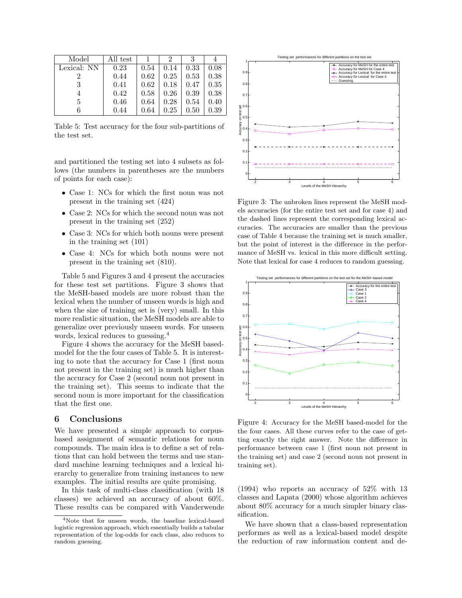| Model       | All test |      | ')   |      |      |
|-------------|----------|------|------|------|------|
| Lexical: NN | 0.23     | 0.54 | 0.14 | 0.33 | 0.08 |
|             | 0.44     | 0.62 | 0.25 | 0.53 | 0.38 |
| 3           | 0.41     | 0.62 | 0.18 | 0.47 | 0.35 |
| 4           | 0.42     | 0.58 | 0.26 | 0.39 | 0.38 |
| 5           | 0.46     | 0.64 | 0.28 | 0.54 | 0.40 |
|             | 0.44     | 0.64 | 0.25 | 0.50 | 0.39 |

Table 5: Test accuracy for the four sub-partitions of the test set.

and partitioned the testing set into 4 subsets as follows (the numbers in parentheses are the numbers of points for each case):

- Case 1: NCs for which the first noun was not present in the training set (424)
- Case 2: NCs for which the second noun was not present in the training set (252)
- Case 3: NCs for which both nouns were present in the training set (101)
- Case 4: NCs for which both nouns were not present in the training set (810).

Table 5 and Figures 3 and 4 present the accuracies for these test set partitions. Figure 3 shows that the MeSH-based models are more robust than the lexical when the number of unseen words is high and when the size of training set is (very) small. In this more realistic situation, the MeSH models are able to generalize over previously unseen words. For unseen words, lexical reduces to guessing.<sup>4</sup>

Figure 4 shows the accuracy for the MeSH basedmodel for the the four cases of Table 5. It is interesting to note that the accuracy for Case 1 (first noun not present in the training set) is much higher than the accuracy for Case 2 (second noun not present in the training set). This seems to indicate that the second noun is more important for the classification that the first one.

## **6 Conclusions**

We have presented a simple approach to corpusbased assignment of semantic relations for noun compounds. The main idea is to define a set of relations that can hold between the terms and use standard machine learning techniques and a lexical hierarchy to generalize from training instances to new examples. The initial results are quite promising.

In this task of multi-class classification (with 18 classes) we achieved an accuracy of about 60%. These results can be compared with Vanderwende



Figure 3: The unbroken lines represent the MeSH models accuracies (for the entire test set and for case 4) and the dashed lines represent the corresponding lexical accuracies. The accuracies are smaller than the previous case of Table 4 because the training set is much smaller, but the point of interest is the difference in the performance of MeSH vs. lexical in this more difficult setting. Note that lexical for case 4 reduces to random guessing.



Figure 4: Accuracy for the MeSH based-model for the the four cases. All these curves refer to the case of getting exactly the right answer. Note the difference in performance between case 1 (first noun not present in the training set) and case 2 (second noun not present in training set).

(1994) who reports an accuracy of 52% with 13 classes and Lapata (2000) whose algorithm achieves about 80% accuracy for a much simpler binary classification.

We have shown that a class-based representation performes as well as a lexical-based model despite the reduction of raw information content and de-

<sup>4</sup>Note that for unseen words, the baseline lexical-based logistic regression approach, which essentially builds a tabular representation of the log-odds for each class, also reduces to random guessing.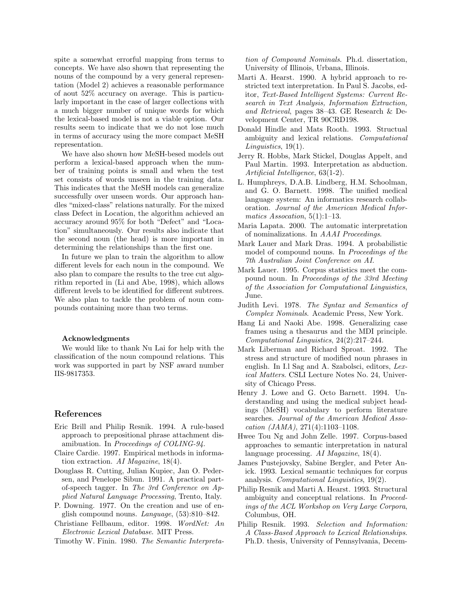spite a somewhat errorful mapping from terms to concepts. We have also shown that representing the nouns of the compound by a very general representation (Model 2) achieves a reasonable performance of aout 52% accuracy on average. This is particularly important in the case of larger collections with a much bigger number of unique words for which the lexical-based model is not a viable option. Our results seem to indicate that we do not lose much in terms of accuracy using the more compact MeSH representation.

We have also shown how MeSH-besed models out perform a lexical-based approach when the number of training points is small and when the test set consists of words unseen in the training data. This indicates that the MeSH models can generalize successfully over unseen words. Our approach handles "mixed-class" relations naturally. For the mixed class Defect in Location, the algorithm achieved an accuracy around 95% for both "Defect" and "Location" simultaneously. Our results also indicate that the second noun (the head) is more important in determining the relationships than the first one.

In future we plan to train the algorithm to allow different levels for each noun in the compound. We also plan to compare the results to the tree cut algorithm reported in (Li and Abe, 1998), which allows different levels to be identified for different subtrees. We also plan to tackle the problem of noun compounds containing more than two terms.

#### **Acknowledgments**

We would like to thank Nu Lai for help with the classification of the noun compound relations. This work was supported in part by NSF award number IIS-9817353.

#### **References**

- Eric Brill and Philip Resnik. 1994. A rule-based approach to prepositional phrase attachment disamibuation. In Proceedings of COLING-94.
- Claire Cardie. 1997. Empirical methods in information extraction. AI Magazine, 18(4).
- Douglass R. Cutting, Julian Kupiec, Jan O. Pedersen, and Penelope Sibun. 1991. A practical partof-speech tagger. In The 3rd Conference on Applied Natural Language Processing, Trento, Italy.
- P. Downing. 1977. On the creation and use of english compound nouns. Language, (53):810–842.
- Christiane Fellbaum, editor. 1998. WordNet: An Electronic Lexical Database. MIT Press.

Timothy W. Finin. 1980. The Semantic Interpreta-

tion of Compound Nominals. Ph.d. dissertation, University of Illinois, Urbana, Illinois.

- Marti A. Hearst. 1990. A hybrid approach to restricted text interpretation. In Paul S. Jacobs, editor, Text-Based Intelligent Systems: Current Research in Text Analysis, Information Extraction, and Retrieval, pages 38–43. GE Research & Development Center, TR 90CRD198.
- Donald Hindle and Mats Rooth. 1993. Structual ambiguity and lexical relations. Computational Linguistics, 19(1).
- Jerry R. Hobbs, Mark Stickel, Douglas Appelt, and Paul Martin. 1993. Interpretation as abduction. Artificial Intelligence, 63(1-2).
- L. Humphreys, D.A.B. Lindberg, H.M. Schoolman, and G. O. Barnett. 1998. The unified medical language system: An informatics research collaboration. Journal of the American Medical Informatics Assocation, 5(1):1–13.
- Maria Lapata. 2000. The automatic interpretation of nominalizations. In AAAI Proceedings.
- Mark Lauer and Mark Dras. 1994. A probabilistic model of compound nouns. In Proceedings of the 7th Australian Joint Conference on AI.
- Mark Lauer. 1995. Corpus statistics meet the compound noun. In Proceedings of the 33rd Meeting of the Association for Computational Linguistics, June.
- Judith Levi. 1978. The Syntax and Semantics of Complex Nominals. Academic Press, New York.
- Hang Li and Naoki Abe. 1998. Generalizing case frames using a thesaurus and the MDI principle. Computational Linguistics, 24(2):217–244.
- Mark Liberman and Richard Sproat. 1992. The stress and structure of modified noun phrases in english. In I.l Sag and A. Szabolsci, editors, Lexical Matters. CSLI Lecture Notes No. 24, University of Chicago Press.
- Henry J. Lowe and G. Octo Barnett. 1994. Understanding and using the medical subject headings (MeSH) vocabulary to perform literature searches. Journal of the American Medical Assocation (JAMA), 271(4):1103–1108.
- Hwee Tou Ng and John Zelle. 1997. Corpus-based approaches to semantic interpretation in natural language processing. AI Magazine, 18(4).
- James Pustejovsky, Sabine Bergler, and Peter Anick. 1993. Lexical semantic techniques for corpus analysis. Computational Linguistics, 19(2).
- Philip Resnik and Marti A. Hearst. 1993. Structural ambiguity and conceptual relations. In Proceedings of the ACL Workshop on Very Large Corpora, Columbus, OH.
- Philip Resnik. 1993. Selection and Information: A Class-Based Approach to Lexical Relationships. Ph.D. thesis, University of Pennsylvania, Decem-